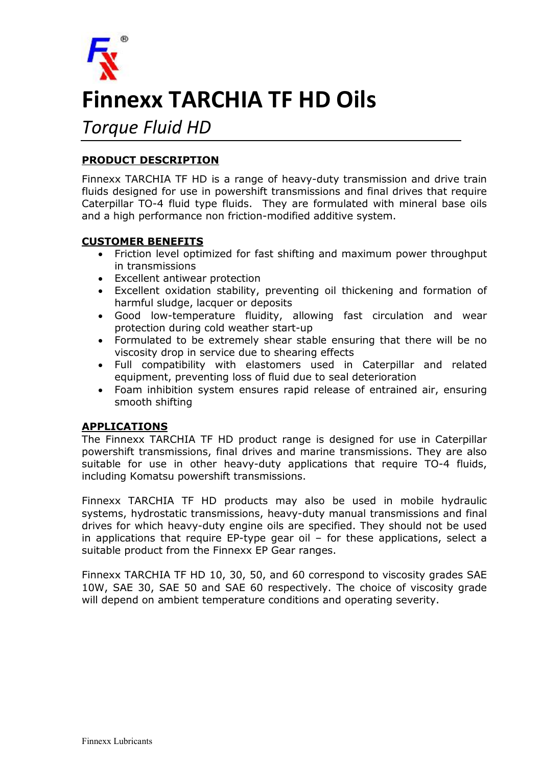

# Finnexx TARCHIA TF HD Oils

# *Torque Fluid HD*

## PRODUCT DESCRIPTION

Finnexx TARCHIA TF HD is a range of heavy-duty transmission and drive train fluids designed for use in powershift transmissions and final drives that require Caterpillar TO-4 fluid type fluids. They are formulated with mineral base oils and a high performance non friction-modified additive system.

#### CUSTOMER BENEFITS

- Friction level optimized for fast shifting and maximum power throughput in transmissions
- Excellent antiwear protection
- Excellent oxidation stability, preventing oil thickening and formation of harmful sludge, lacquer or deposits
- Good low-temperature fluidity, allowing fast circulation and wear protection during cold weather start-up
- Formulated to be extremely shear stable ensuring that there will be no viscosity drop in service due to shearing effects
- Full compatibility with elastomers used in Caterpillar and related equipment, preventing loss of fluid due to seal deterioration
- Foam inhibition system ensures rapid release of entrained air, ensuring smooth shifting

### APPLICATIONS

The Finnexx TARCHIA TF HD product range is designed for use in Caterpillar powershift transmissions, final drives and marine transmissions. They are also suitable for use in other heavy-duty applications that require TO-4 fluids, including Komatsu powershift transmissions.

Finnexx TARCHIA TF HD products may also be used in mobile hydraulic systems, hydrostatic transmissions, heavy-duty manual transmissions and final drives for which heavy-duty engine oils are specified. They should not be used in applications that require EP-type gear oil  $-$  for these applications, select a suitable product from the Finnexx EP Gear ranges.

Finnexx TARCHIA TF HD 10, 30, 50, and 60 correspond to viscosity grades SAE 10W, SAE 30, SAE 50 and SAE 60 respectively. The choice of viscosity grade will depend on ambient temperature conditions and operating severity.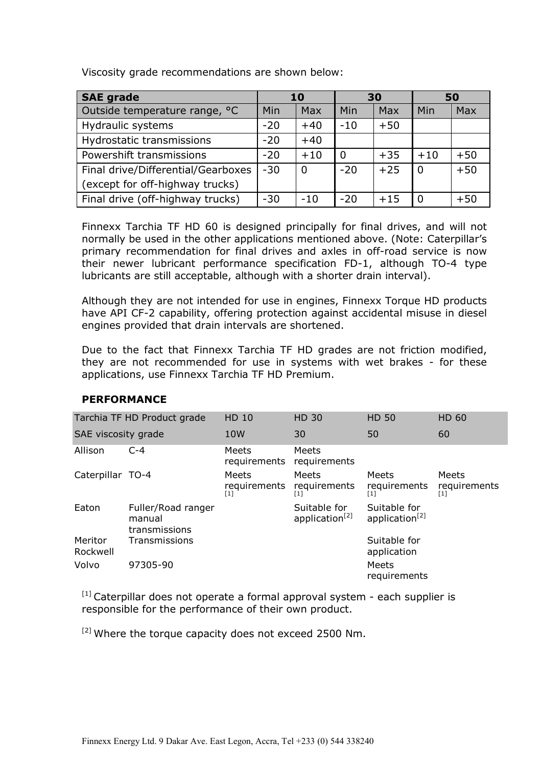Viscosity grade recommendations are shown below:

| <b>SAE grade</b>                   |       | 10             |                | 30    |          | 50    |
|------------------------------------|-------|----------------|----------------|-------|----------|-------|
| Outside temperature range, °C      | Min   | Max            | Min            | Max   | Min      | Max   |
| Hydraulic systems                  | $-20$ | $+40$          | $-10$          | $+50$ |          |       |
| Hydrostatic transmissions          | $-20$ | $+40$          |                |       |          |       |
| Powershift transmissions           | $-20$ | $+10$          | $\overline{0}$ | $+35$ | $+10$    | $+50$ |
| Final drive/Differential/Gearboxes | $-30$ | $\overline{0}$ | $-20$          | $+25$ | -0       | $+50$ |
| (except for off-highway trucks)    |       |                |                |       |          |       |
| Final drive (off-highway trucks)   | $-30$ | $-10$          | $-20$          | $+15$ | $\Omega$ | $+50$ |

Finnexx Tarchia TF HD 60 is designed principally for final drives, and will not normally be used in the other applications mentioned above. (Note: Caterpillar's primary recommendation for final drives and axles in off-road service is now their newer lubricant performance specification FD-1, although TO-4 type lubricants are still acceptable, although with a shorter drain interval).

Although they are not intended for use in engines, Finnexx Torque HD products have API CF-2 capability, offering protection against accidental misuse in diesel engines provided that drain intervals are shortened.

Due to the fact that Finnexx Tarchia TF HD grades are not friction modified, they are not recommended for use in systems with wet brakes - for these applications, use Finnexx Tarchia TF HD Premium.

|                     | Tarchia TF HD Product grade                   | <b>HD 10</b>                               | <b>HD 30</b>                               | <b>HD 50</b>                               | <b>HD 60</b>                 |
|---------------------|-----------------------------------------------|--------------------------------------------|--------------------------------------------|--------------------------------------------|------------------------------|
| SAE viscosity grade |                                               | 10 <sub>W</sub>                            | 30                                         | 50                                         | 60                           |
| Allison             | $C-4$                                         | Meets<br>requirements                      | <b>Meets</b><br>requirements               |                                            |                              |
| Caterpillar TO-4    |                                               | Meets<br>requirements<br>$\lceil 1 \rceil$ | Meets<br>requirements<br>$\lceil 1 \rceil$ | <b>Meets</b><br>requirements<br>[1]        | Meets<br>requirements<br>[1] |
| Eaton               | Fuller/Road ranger<br>manual<br>transmissions |                                            | Suitable for<br>application <sup>[2]</sup> | Suitable for<br>application <sup>[2]</sup> |                              |
| Meritor<br>Rockwell | Transmissions                                 |                                            |                                            | Suitable for<br>application                |                              |
| Volvo               | 97305-90                                      |                                            |                                            | Meets<br>requirements                      |                              |

#### PERFORMANCE

 $[1]$  Caterpillar does not operate a formal approval system - each supplier is responsible for the performance of their own product.

<sup>[2]</sup> Where the torque capacity does not exceed 2500 Nm.